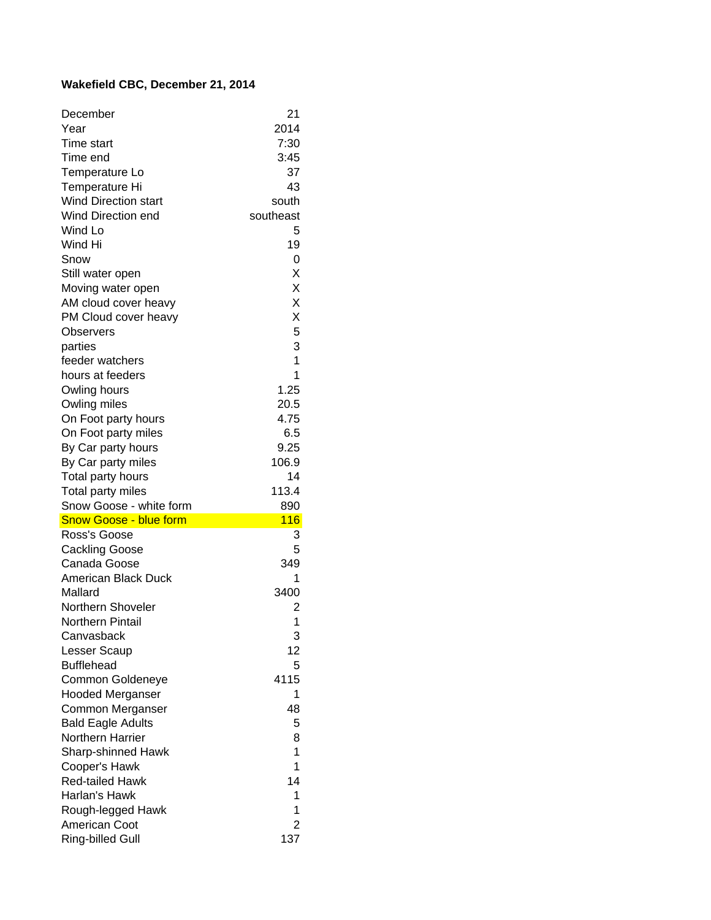## **Wakefield CBC, December 21, 2014**

| December                      | 21             |
|-------------------------------|----------------|
| Year                          | 2014           |
| Time start                    | 7:30           |
| Time end                      | 3:45           |
| Temperature Lo                | 37             |
| Temperature Hi                | 43             |
| <b>Wind Direction start</b>   | south          |
| Wind Direction end            | southeast      |
| Wind Lo                       | 5              |
| Wind Hi                       | 19             |
| Snow                          | 0              |
| Still water open              | X              |
| Moving water open             | X              |
| AM cloud cover heavy          | X              |
| PM Cloud cover heavy          | X              |
| <b>Observers</b>              | 5              |
| parties                       | 3              |
| feeder watchers               | $\mathbf{1}$   |
| hours at feeders              | 1              |
|                               | 1.25           |
| Owling hours                  | 20.5           |
| Owling miles                  |                |
| On Foot party hours           | 4.75           |
| On Foot party miles           | 6.5            |
| By Car party hours            | 9.25           |
| By Car party miles            | 106.9          |
| Total party hours             | 14             |
| Total party miles             | 113.4          |
| Snow Goose - white form       | 890            |
| <b>Snow Goose - blue form</b> | 116            |
| Ross's Goose                  | 3              |
| <b>Cackling Goose</b>         | 5              |
| Canada Goose                  | 349            |
| American Black Duck           | 1              |
| Mallard                       | 3400           |
| Northern Shoveler             | 2              |
| <b>Northern Pintail</b>       | 1              |
| Canvasback                    | 3              |
| Lesser Scaup                  | 12             |
| <b>Bufflehead</b>             | 5              |
| Common Goldeneye              | 4115           |
| <b>Hooded Merganser</b>       | 1              |
| Common Merganser              | 48             |
| <b>Bald Eagle Adults</b>      | 5              |
| Northern Harrier              | 8              |
| Sharp-shinned Hawk            |                |
|                               | 1              |
| Cooper's Hawk                 | 1              |
| <b>Red-tailed Hawk</b>        | 14             |
| Harlan's Hawk                 | 1              |
| Rough-legged Hawk             | 1              |
| American Coot                 | $\overline{2}$ |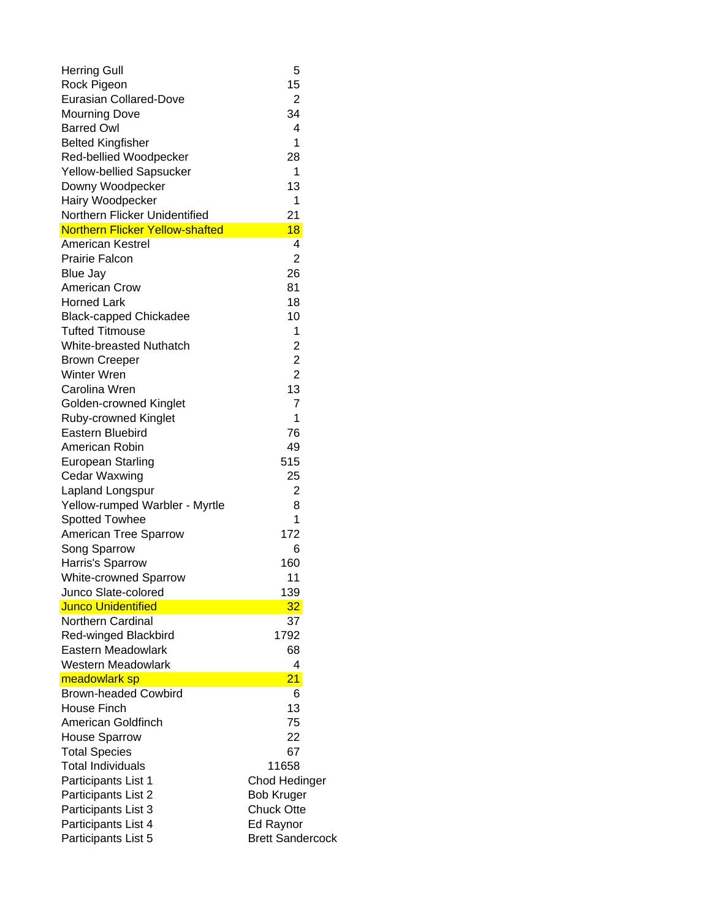| <b>Herring Gull</b><br>Rock Pigeon                | 5<br>15                          |
|---------------------------------------------------|----------------------------------|
| <b>Eurasian Collared-Dove</b>                     | $\overline{2}$                   |
|                                                   | 34                               |
| <b>Mourning Dove</b><br><b>Barred Owl</b>         | 4                                |
| <b>Belted Kingfisher</b>                          | 1                                |
|                                                   | 28                               |
| Red-bellied Woodpecker                            | 1                                |
| Yellow-bellied Sapsucker                          |                                  |
| Downy Woodpecker                                  | 13<br>1                          |
| Hairy Woodpecker<br>Northern Flicker Unidentified | 21                               |
| <b>Northern Flicker Yellow-shafted</b>            | 18                               |
| American Kestrel                                  | 4                                |
| <b>Prairie Falcon</b>                             | $\overline{2}$                   |
| <b>Blue Jay</b>                                   | 26                               |
| <b>American Crow</b>                              | 81                               |
| <b>Horned Lark</b>                                | 18                               |
|                                                   | 10                               |
| <b>Black-capped Chickadee</b>                     |                                  |
| <b>Tufted Titmouse</b>                            | 1                                |
| White-breasted Nuthatch                           | $\overline{2}$                   |
| <b>Brown Creeper</b>                              | $\overline{c}$<br>$\overline{2}$ |
| Winter Wren                                       |                                  |
| Carolina Wren                                     | 13                               |
| Golden-crowned Kinglet                            | $\overline{7}$                   |
| Ruby-crowned Kinglet                              | 1                                |
| Eastern Bluebird                                  | 76                               |
| American Robin                                    | 49                               |
| <b>European Starling</b>                          | 515                              |
| Cedar Waxwing                                     | 25                               |
| Lapland Longspur                                  | 2                                |
| Yellow-rumped Warbler - Myrtle                    | 8                                |
| Spotted Towhee                                    | 1                                |
| American Tree Sparrow                             | 172                              |
| Song Sparrow                                      | 6                                |
| Harris's Sparrow                                  | 160                              |
| White-crowned Sparrow                             | 11                               |
| Junco Slate-colored                               | 139                              |
| <u>Junco Unidentified</u>                         | 32                               |
| <b>Northern Cardinal</b>                          | 37                               |
| <b>Red-winged Blackbird</b>                       | 1792                             |
| Eastern Meadowlark                                | 68                               |
| Western Meadowlark                                | 4                                |
| meadowlark sp                                     | 21                               |
| <b>Brown-headed Cowbird</b>                       | 6                                |
| House Finch                                       | 13                               |
| American Goldfinch                                | 75                               |
| <b>House Sparrow</b>                              | 22                               |
| <b>Total Species</b>                              | 67                               |
| <b>Total Individuals</b>                          | 11658                            |
| Participants List 1                               | Chod Hedinger                    |
| Participants List 2                               | <b>Bob Kruger</b>                |
| Participants List 3                               | <b>Chuck Otte</b>                |
| Participants List 4                               | Ed Raynor                        |
| Participants List 5                               | <b>Brett Sandercock</b>          |